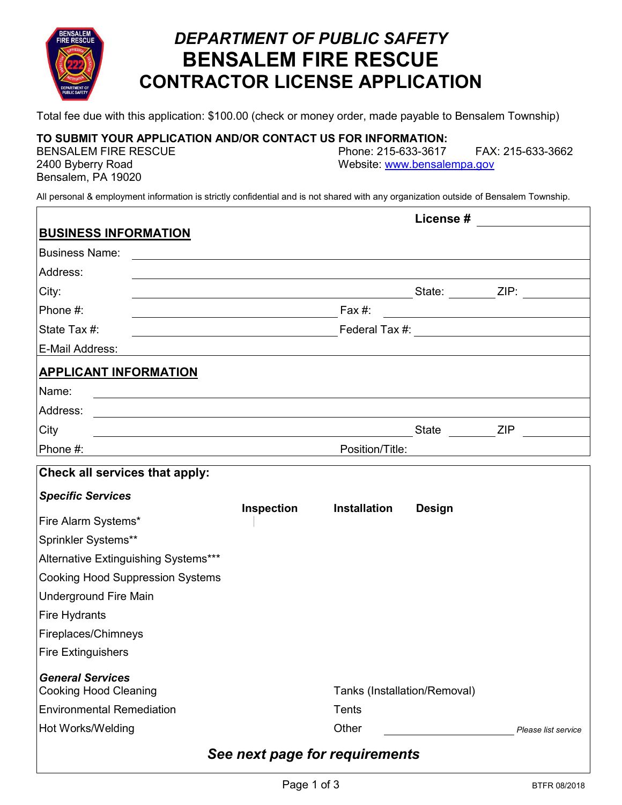

## *DEPARTMENT OF PUBLIC SAFETY* **BENSALEM FIRE RESCUE CONTRACTOR LICENSE APPLICATION**

Total fee due with this application: \$100.00 (check or money order, made payable to Bensalem Township)

#### **TO SUBMIT YOUR APPLICATION AND/OR CONTACT US FOR INFORMATION:**

Bensalem, PA 19020

BENSALEM FIRE RESCUE Phone: 215-633-3617 FAX: 215-633-3662 2400 Byberry Road Website: [www.bensalempa.gov](http://www.bensalemtwp.org/)

All personal & employment information is strictly confidential and is not shared with any organization outside of Bensalem Township.

| <b>BUSINESS INFORMATION</b>                             |            |                                |               |  |                     |
|---------------------------------------------------------|------------|--------------------------------|---------------|--|---------------------|
| <b>Business Name:</b>                                   |            |                                |               |  |                     |
| Address:                                                |            |                                |               |  |                     |
| City:                                                   |            |                                |               |  |                     |
| Phone #:                                                |            | Fax $#$ :                      |               |  |                     |
| State Tax #:                                            |            |                                |               |  |                     |
| E-Mail Address:                                         |            |                                |               |  |                     |
| <b>APPLICANT INFORMATION</b>                            |            |                                |               |  |                     |
| Name:                                                   |            |                                |               |  |                     |
| Address:                                                |            |                                |               |  |                     |
| City                                                    |            |                                | State ZIP     |  |                     |
| Phone #:                                                |            | Position/Title:                |               |  |                     |
| Check all services that apply:                          |            |                                |               |  |                     |
| <b>Specific Services</b>                                |            |                                |               |  |                     |
| Fire Alarm Systems*                                     | Inspection | <b>Installation</b>            | <b>Design</b> |  |                     |
| Sprinkler Systems**                                     |            |                                |               |  |                     |
| Alternative Extinguishing Systems***                    |            |                                |               |  |                     |
| <b>Cooking Hood Suppression Systems</b>                 |            |                                |               |  |                     |
| <b>Underground Fire Main</b>                            |            |                                |               |  |                     |
| <b>Fire Hydrants</b>                                    |            |                                |               |  |                     |
| Fireplaces/Chimneys                                     |            |                                |               |  |                     |
| <b>Fire Extinguishers</b>                               |            |                                |               |  |                     |
| <b>General Services</b><br><b>Cooking Hood Cleaning</b> |            | Tanks (Installation/Removal)   |               |  |                     |
| <b>Environmental Remediation</b>                        |            | Tents                          |               |  |                     |
| Hot Works/Welding                                       |            | Other                          |               |  | Please list service |
|                                                         |            | See next page for requirements |               |  |                     |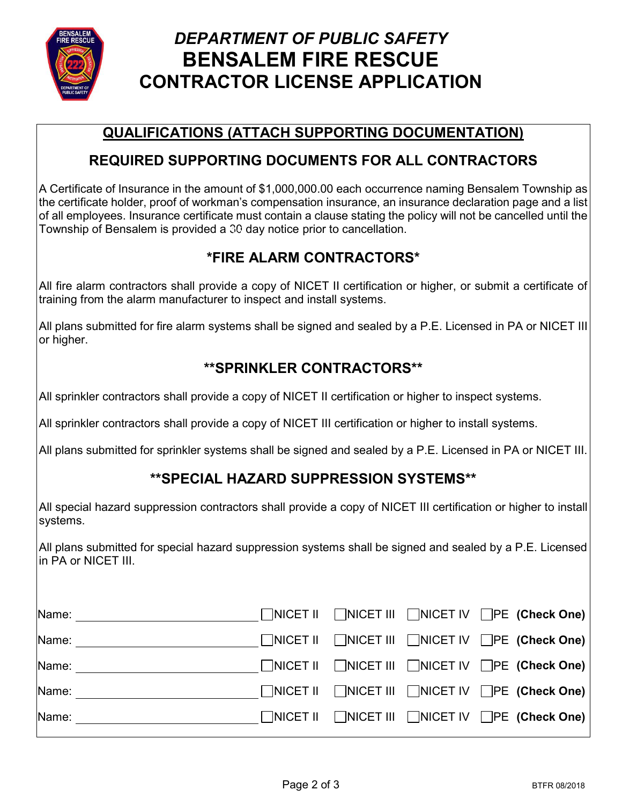

# *DEPARTMENT OF PUBLIC SAFETY* **BENSALEM FIRE RESCUE CONTRACTOR LICENSE APPLICATION**

### **QUALIFICATIONS (ATTACH SUPPORTING DOCUMENTATION)**

#### **REQUIRED SUPPORTING DOCUMENTS FOR ALL CONTRACTORS**

A Certificate of Insurance in the amount of \$1,000,000.00 each occurrence naming Bensalem Township as the certificate holder, proof of workman's compensation insurance, an insurance declaration page and a list of all employees. Insurance certificate must contain a clause stating the policy will not be cancelled until the Township of Bensalem is provided a 30 day notice prior to cancellation. 15

### **\*FIRE ALARM CONTRACTORS\***

All fire alarm contractors shall provide a copy of NICET II certification or higher, or submit a certificate of training from the alarm manufacturer to inspect and install systems.

All plans submitted for fire alarm systems shall be signed and sealed by a P.E. Licensed in PA or NICET III or higher.

### **\*\*SPRINKLER CONTRACTORS\*\***

All sprinkler contractors shall provide a copy of NICET II certification or higher to inspect systems.

All sprinkler contractors shall provide a copy of NICET III certification or higher to install systems.

All plans submitted for sprinkler systems shall be signed and sealed by a P.E. Licensed in PA or NICET III.

#### **\*\*SPECIAL HAZARD SUPPRESSION SYSTEMS\*\***

All special hazard suppression contractors shall provide a copy of NICET III certification or higher to install systems.

All plans submitted for special hazard suppression systems shall be signed and sealed by a P.E. Licensed in PA or NICET III.

| Name: |  |  | $\Box$ NICET II $\Box$ NICET III $\Box$ NICET IV $\Box$ PE (Check One) |
|-------|--|--|------------------------------------------------------------------------|
| Name: |  |  | $\Box$ NICET II $\Box$ NICET III $\Box$ NICET IV $\Box$ PE (Check One) |
| Name: |  |  | $\Box$ NICET II $\Box$ NICET III $\Box$ NICET IV $\Box$ PE (Check One) |
| Name: |  |  | $\Box$ NICET II $\Box$ NICET III $\Box$ NICET IV $\Box$ PE (Check One) |
| Name: |  |  | NICET II NICET III NICET IV DPE (Check One)                            |